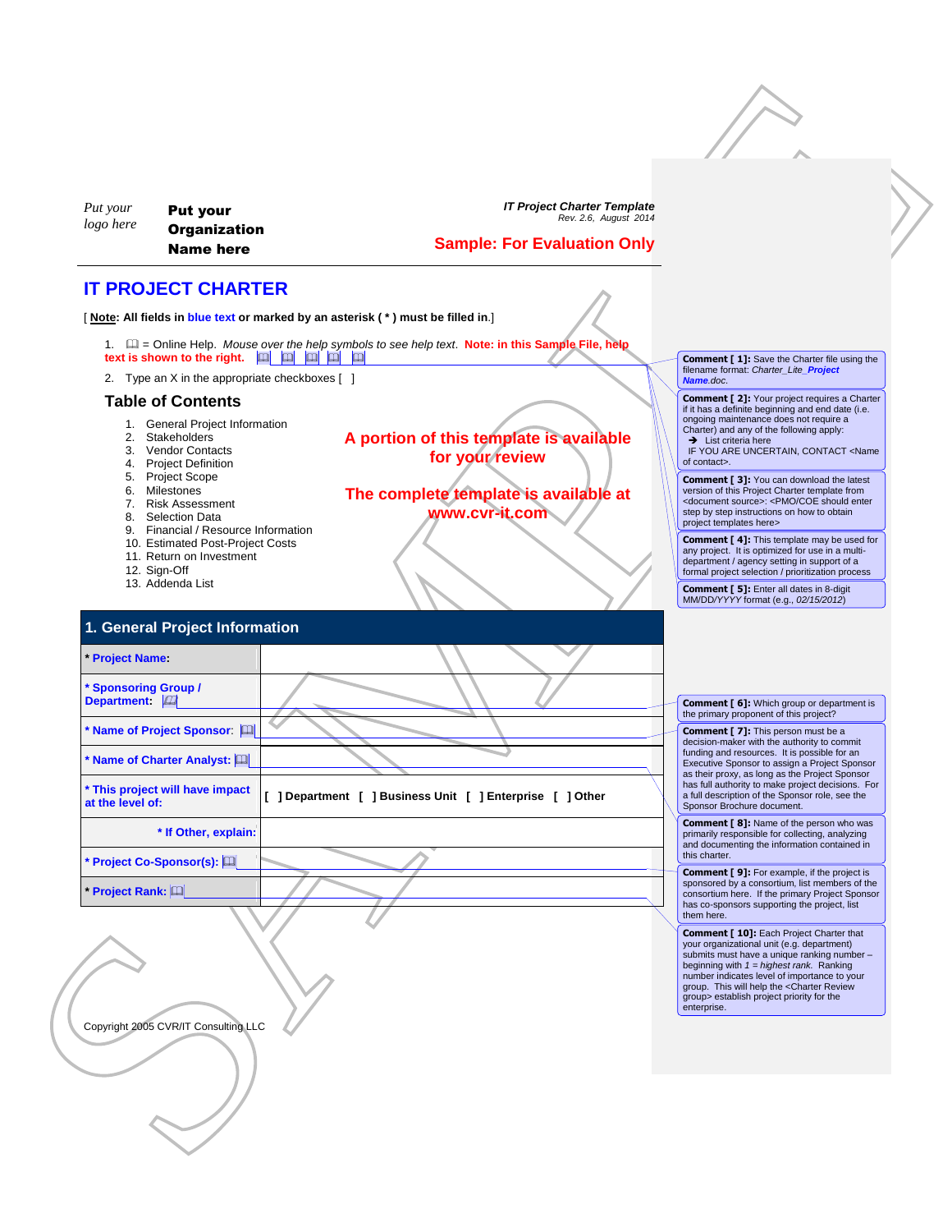| Put your  | <b>Put your</b>     |
|-----------|---------------------|
| logo here | <b>Organization</b> |
|           | Name here           |

#### **Sample: For Evaluation Only**

### **IT PROJECT CHARTER**

| 1. $\Box$ = Online Help. Mouse over the help symbols to see help text. Note: in this Sample File, help |  |  |  |  |  |
|--------------------------------------------------------------------------------------------------------|--|--|--|--|--|
| text is shown to the right. $\boxed{10}$ $\boxed{11}$ $\boxed{11}$ $\boxed{11}$ $\boxed{11}$           |  |  |  |  |  |

#### **Table of Contents**

- 1. General Project Information
- 2. Stakeholders<br>3. Vendor Conta
- Vendor Contacts
- 4. Project Definition
- 5. Project Scope
- 6. Milestones
- 7. Risk Assessment
- 8. Selection Data
- 9. Financial / Resource Information
- 10. Estimated Post-Project Costs
- 11. Return on Investment

- 12. Sign-Off
- 13. Addenda List

| Put your<br>logo here                      | <b>Put your</b><br><b>Organization</b><br><b>Name here</b>                                                                                                                                                                                                                                                                                                                                           | <b>IT Project Charter Template</b><br>Rev. 2.6, August 2014<br><b>Sample: For Evaluation Only</b>                                                       |                                                                                                                                                                                                                                                                                                                                                      |
|--------------------------------------------|------------------------------------------------------------------------------------------------------------------------------------------------------------------------------------------------------------------------------------------------------------------------------------------------------------------------------------------------------------------------------------------------------|---------------------------------------------------------------------------------------------------------------------------------------------------------|------------------------------------------------------------------------------------------------------------------------------------------------------------------------------------------------------------------------------------------------------------------------------------------------------------------------------------------------------|
|                                            | <b>IT PROJECT CHARTER</b>                                                                                                                                                                                                                                                                                                                                                                            |                                                                                                                                                         |                                                                                                                                                                                                                                                                                                                                                      |
|                                            |                                                                                                                                                                                                                                                                                                                                                                                                      | [Note: All fields in blue text or marked by an asterisk (*) must be filled in.]                                                                         |                                                                                                                                                                                                                                                                                                                                                      |
|                                            |                                                                                                                                                                                                                                                                                                                                                                                                      | 1. La = Online Help. Mouse over the help symbols to see help text. Note: in this Sample File, help<br>text is shown to the right. <b>TH EN EN EN EN</b> | <b>Comment [1]:</b> Save the Charter file using the<br>filename format: Charter Lite Project                                                                                                                                                                                                                                                         |
|                                            | 2. Type an X in the appropriate checkboxes [ ]                                                                                                                                                                                                                                                                                                                                                       |                                                                                                                                                         | Name.doc.<br><b>Comment [2]:</b> Your project requires a Charter                                                                                                                                                                                                                                                                                     |
|                                            | <b>Table of Contents</b><br>1. General Project Information<br>2. Stakeholders<br>3. Vendor Contacts<br>4. Project Definition                                                                                                                                                                                                                                                                         | A portion of this template is available<br>for your review                                                                                              | if it has a definite beginning and end date (i.e.<br>ongoing maintenance does not require a<br>Charter) and any of the following apply:<br>$\rightarrow$ List criteria here<br>IF YOU ARE UNCERTAIN, CONTACT <name<br>of contact&gt;.</name<br>                                                                                                      |
|                                            | 5. Project Scope<br>6. Milestones<br>7. Risk Assessment<br>8. Selection Data<br>9. Financial / Resource Information                                                                                                                                                                                                                                                                                  | The complete template is available at<br>www.cvr-it.com                                                                                                 | <b>Comment [3]:</b> You can download the latest<br>version of this Project Charter template from<br><document source="">: <pmo coe="" enter<br="" should="">step by step instructions on how to obtain<br/>project templates here&gt;</pmo></document>                                                                                               |
| 12. Sign-Off                               | 10. Estimated Post-Project Costs<br>11. Return on Investment<br>13. Addenda List                                                                                                                                                                                                                                                                                                                     |                                                                                                                                                         | <b>Comment [4]:</b> This template may be used for<br>any project. It is optimized for use in a multi-<br>department / agency setting in support of a<br>formal project selection / prioritization process                                                                                                                                            |
|                                            |                                                                                                                                                                                                                                                                                                                                                                                                      |                                                                                                                                                         | <b>Comment [ 5]:</b> Enter all dates in 8-digit<br>MM/DD/YYYY format (e.g., 02/15/2012)                                                                                                                                                                                                                                                              |
|                                            | 1. General Project Information                                                                                                                                                                                                                                                                                                                                                                       |                                                                                                                                                         |                                                                                                                                                                                                                                                                                                                                                      |
| <b>Project Name:</b>                       |                                                                                                                                                                                                                                                                                                                                                                                                      |                                                                                                                                                         |                                                                                                                                                                                                                                                                                                                                                      |
| <b>Sponsoring Group /</b><br>Department: 2 |                                                                                                                                                                                                                                                                                                                                                                                                      |                                                                                                                                                         | <b>Comment [ 6]:</b> Which group or department is<br>the primary proponent of this project?                                                                                                                                                                                                                                                          |
|                                            | Name of Project Sponsor:                                                                                                                                                                                                                                                                                                                                                                             |                                                                                                                                                         | <b>Comment [7]:</b> This person must be a<br>decision-maker with the authority to commit                                                                                                                                                                                                                                                             |
|                                            | Mame of Charter Analyst: $ \hspace{-.1em}1\>\!\!\!\perp\>\!\!\!\perp\>\!\!\!\perp\>\!\!\!\perp\>\!\!\!\perp\>\!\!\!\perp\>\!\!\!\perp\>\!\!\!\perp\>\!\!\!\perp\>\!\!\!\perp\>\!\!\!\perp\>\!\!\!\perp\>\!\!\!\perp\>\!\!\!\perp\>\!\!\!\perp\>\!\!\!\perp\>\!\!\!\perp\>\!\!\!\perp\>\!\!\!\perp\>\!\!\!\perp\>\!\!\!\perp\>\!\!\!\perp\>\!\!\!\perp\>\!\!\!\perp\>\!\!\!\perp\>\!\!\!\perp\>\!\!\$ |                                                                                                                                                         | funding and resources. It is possible for an<br>Executive Sponsor to assign a Project Sponsor<br>as their proxy, as long as the Project Sponsor                                                                                                                                                                                                      |
| at the level of:                           | * This project will have impact                                                                                                                                                                                                                                                                                                                                                                      | [ ] Department [ ] Business Unit [ ] Enterprise [ ] Other                                                                                               | has full authority to make project decisions. For<br>a full description of the Sponsor role, see the<br>Sponsor Brochure document.                                                                                                                                                                                                                   |
|                                            | * If Other, explain:<br>Project Co-Sponsor(s): [0]                                                                                                                                                                                                                                                                                                                                                   |                                                                                                                                                         | <b>Comment [8]:</b> Name of the person who was<br>primarily responsible for collecting, analyzing<br>and documenting the information contained in<br>this charter.                                                                                                                                                                                   |
| Project Rank: [11]                         |                                                                                                                                                                                                                                                                                                                                                                                                      |                                                                                                                                                         | <b>Comment [9]:</b> For example, if the project is<br>sponsored by a consortium, list members of the<br>consortium here. If the primary Project Sponsor<br>has co-sponsors supporting the project, list<br>them here.                                                                                                                                |
|                                            |                                                                                                                                                                                                                                                                                                                                                                                                      |                                                                                                                                                         | <b>Comment [ 10]:</b> Each Project Charter that<br>your organizational unit (e.g. department)<br>submits must have a unique ranking number -<br>beginning with $1 =$ highest rank. Ranking<br>number indicates level of importance to your<br>group. This will help the <charter review<br="">group&gt; establish project priority for the</charter> |
|                                            |                                                                                                                                                                                                                                                                                                                                                                                                      |                                                                                                                                                         |                                                                                                                                                                                                                                                                                                                                                      |
|                                            | Copyright 2005 CVR/IT Consulting LLC                                                                                                                                                                                                                                                                                                                                                                 |                                                                                                                                                         | enterprise.                                                                                                                                                                                                                                                                                                                                          |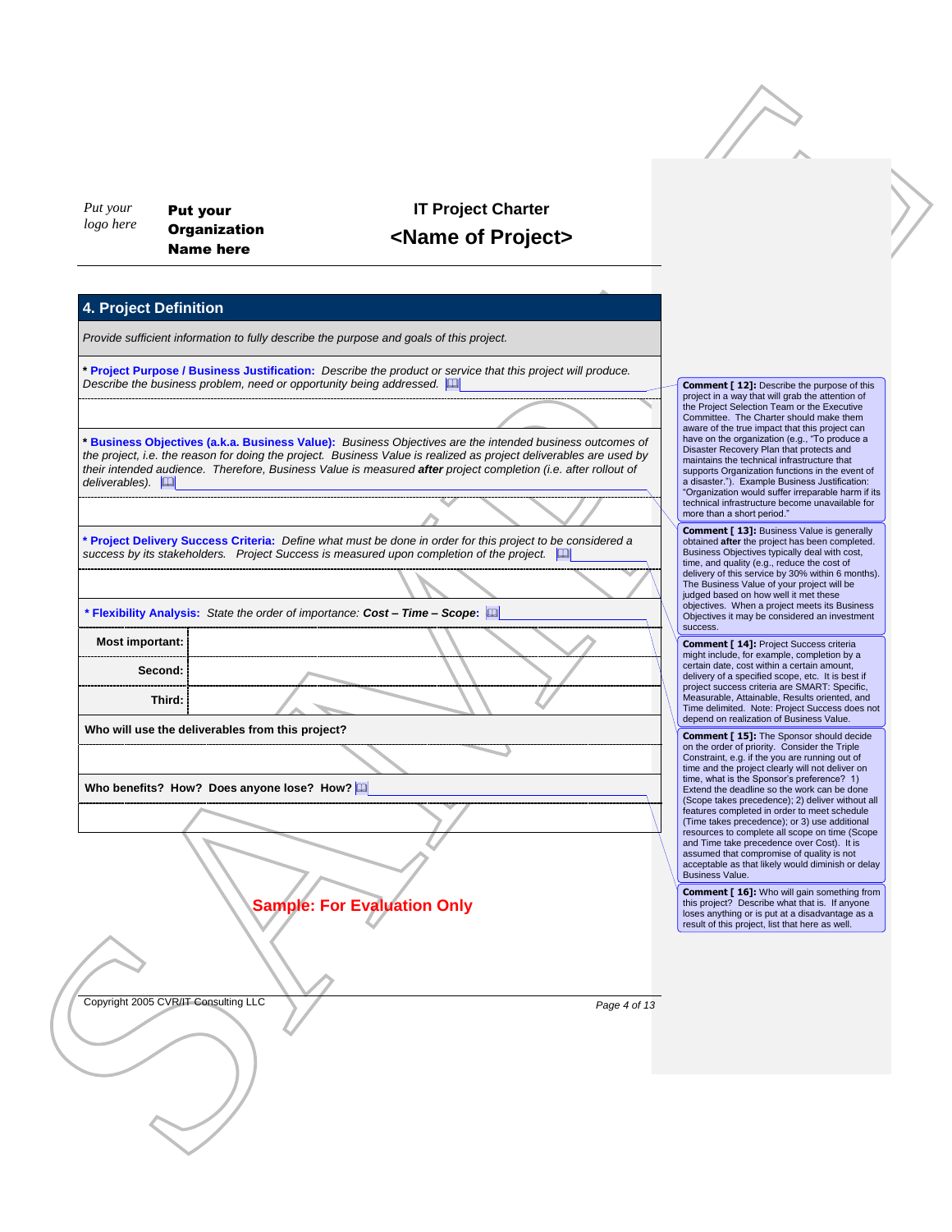*Put your logo here* Put your **Organization** Name here

## **IT Project Charter <Name of Project>**

### **4. Project Definition**

*Provide sufficient information to fully describe the purpose and goals of this project.*

**\* Project Purpose / Business Justification:** *Describe the product or service that this project will produce. Describe the business problem, need or opportunity being addressed.* 

New York Company and The Columbian Company and The Columbian Company and The Columbian Company and The Columbian Company and The Columbian Company and The Columbian Company and The Columbian Company and The Columbian Compa **\* Business Objectives (a.k.a. Business Value):** *Business Objectives are the intended business outcomes of the project, i.e. the reason for doing the project. Business Value is realized as project deliverables are used by their intended audience. Therefore, Business Value is measured after project completion (i.e. after rollout of deliverables).* 

**\* Project Delivery Success Criteria:** *Define what must be done in order for this project to be considered a success by its stakeholders. Project Success is measured upon completion of the project.* 

**\* Flexibility Analysis:** *State the order of importance: Cost – Time – Scope***:** 

**Most important: Second: Third:**

**Who will use the deliverables from this project?** 

**Who benefits? How? Does anyone lose? How?** 

**Sample: For Evaluation Only**

project in a way that will grab the attention of the Project Selection Team or the Executive Committee. The Charter should make them aware of the true impact that this project can have on the organization (e.g., "To produce a Disaster Recovery Plan that protects and maintains the technical infrastructure that supports Organization functions in the event of a disaster."). Example Business Justification: "Organization would suffer irreparable harm if its technical infrastructure become unavailable for

more than a short period."

**Comment [ 12]:** Describe the purpose of this

**Comment [ 13]:** Business Value is generally obtained **after** the project has been completed. Business Objectives typically deal with cost, time, and quality (e.g., reduce the cost of delivery of this service by 30% within 6 months). The Business Value of your project will be judged based on how well it met these objectives. When a project meets its Business Objectives it may be considered an investment success.

**Comment [ 14]:** Project Success criteria might include, for example, completion by a certain date, cost within a certain amount, delivery of a specified scope, etc. It is best if project success criteria are SMART: Specific, Measurable, Attainable, Results oriented, and Time delimited. Note: Project Success does not depend on realization of Business Value.

**Comment [ 15]:** The Sponsor should decide on the order of priority. Consider the Triple Constraint, e.g. if the you are running out of time and the project clearly will not deliver on time, what is the Sponsor's preference? 1) Extend the deadline so the work can be done (Scope takes precedence); 2) deliver without all features completed in order to meet schedule (Time takes precedence); or 3) use additional resources to complete all scope on time (Scope and Time take precedence over Cost). It is assumed that compromise of quality is not acceptable as that likely would diminish or delay Business Value.

**Comment [ 16]:** Who will gain something from this project? Describe what that is. If anyone loses anything or is put at a disadvantage as a result of this project, list that here as well.

Copyright 2005 CVR/IT Consulting LLC *Page 4 of 13*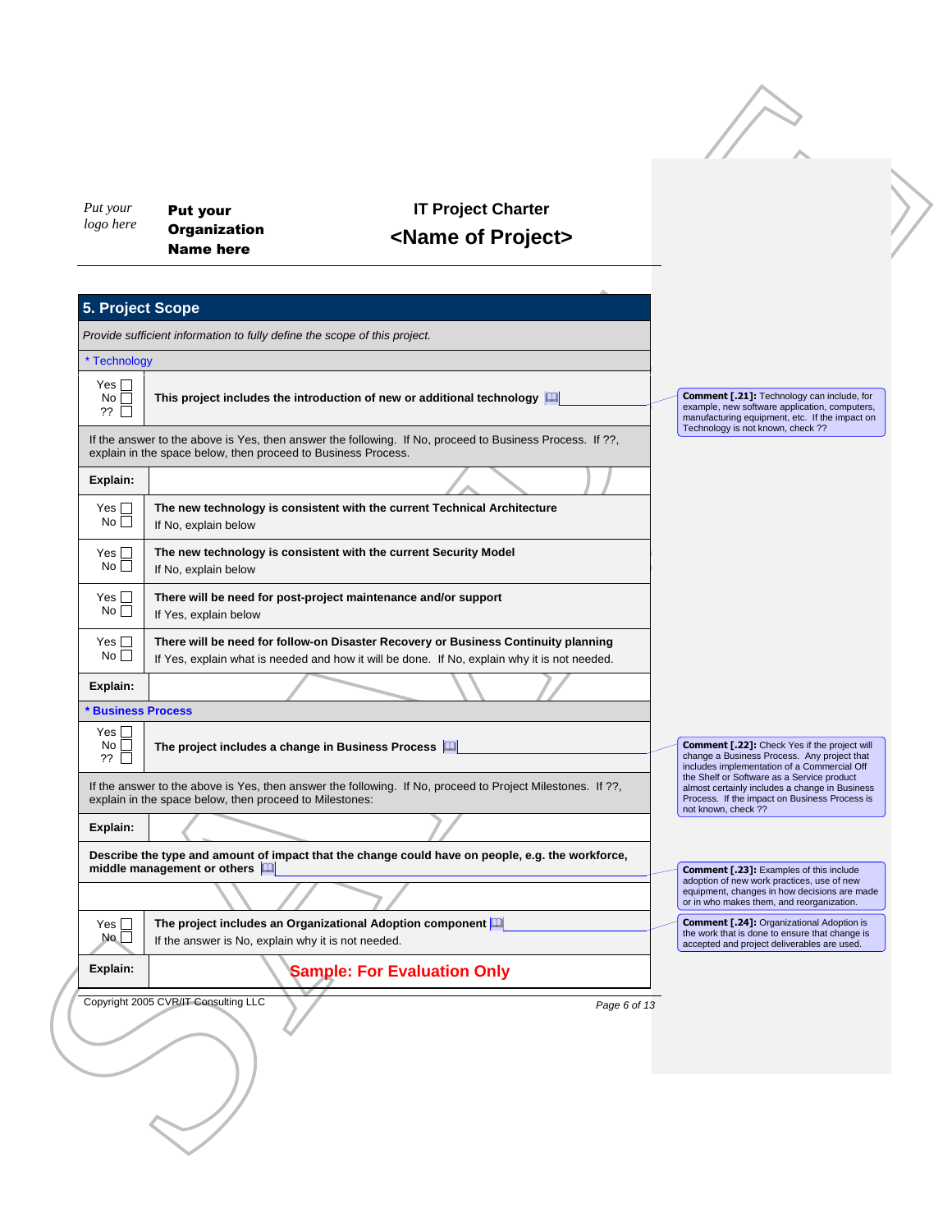| Put your<br>logo here                     | <b>Put your</b>                                                           | <b>IT Project Charter</b>                                                                                                                                                          |              |                                                                                                                                                                                    |  |  |  |
|-------------------------------------------|---------------------------------------------------------------------------|------------------------------------------------------------------------------------------------------------------------------------------------------------------------------------|--------------|------------------------------------------------------------------------------------------------------------------------------------------------------------------------------------|--|--|--|
|                                           | <b>Organization</b><br><b>Name here</b>                                   | <name of="" project=""></name>                                                                                                                                                     |              |                                                                                                                                                                                    |  |  |  |
|                                           |                                                                           |                                                                                                                                                                                    |              |                                                                                                                                                                                    |  |  |  |
| 5. Project Scope                          |                                                                           |                                                                                                                                                                                    |              |                                                                                                                                                                                    |  |  |  |
|                                           | Provide sufficient information to fully define the scope of this project. |                                                                                                                                                                                    |              |                                                                                                                                                                                    |  |  |  |
| * Technology                              |                                                                           |                                                                                                                                                                                    |              |                                                                                                                                                                                    |  |  |  |
| Yes $\square$<br>No<br>??                 |                                                                           | This project includes the introduction of new or additional technology [11]                                                                                                        |              | Comment [.21]: Technology can include, for<br>example, new software application, computers,<br>manufacturing equipment, etc. If the impact on<br>Technology is not known, check ?? |  |  |  |
|                                           | explain in the space below, then proceed to Business Process.             | If the answer to the above is Yes, then answer the following. If No, proceed to Business Process. If ??,                                                                           |              |                                                                                                                                                                                    |  |  |  |
| Explain:                                  |                                                                           |                                                                                                                                                                                    |              |                                                                                                                                                                                    |  |  |  |
| Yes $\square$<br>No                       | If No, explain below                                                      | The new technology is consistent with the current Technical Architecture                                                                                                           |              |                                                                                                                                                                                    |  |  |  |
| Yes $\square$<br>No <sub>1</sub>          | If No, explain below                                                      | The new technology is consistent with the current Security Model                                                                                                                   |              |                                                                                                                                                                                    |  |  |  |
| Yes $\square$<br>No <sub>1</sub>          | If Yes, explain below                                                     | There will be need for post-project maintenance and/or support                                                                                                                     |              |                                                                                                                                                                                    |  |  |  |
| Yes $\square$<br>No                       |                                                                           | There will be need for follow-on Disaster Recovery or Business Continuity planning<br>If Yes, explain what is needed and how it will be done. If No, explain why it is not needed. |              |                                                                                                                                                                                    |  |  |  |
| Explain:                                  |                                                                           |                                                                                                                                                                                    |              |                                                                                                                                                                                    |  |  |  |
| <b>Business Process</b>                   |                                                                           |                                                                                                                                                                                    |              |                                                                                                                                                                                    |  |  |  |
| Yes $\Box$<br>$No$ $\Box$<br>??<br>$\Box$ | The project includes a change in Business Process [44]                    |                                                                                                                                                                                    |              | Comment [.22]: Check Yes if the project will<br>change a Business Process. Any project that<br>includes implementation of a Commercial Off                                         |  |  |  |
|                                           | explain in the space below, then proceed to Milestones:                   | If the answer to the above is Yes, then answer the following. If No, proceed to Project Milestones. If ??,                                                                         |              | the Shelf or Software as a Service product<br>almost certainly includes a change in Business<br>Process. If the impact on Business Process is<br>not known, check ??               |  |  |  |
| Explain:                                  |                                                                           |                                                                                                                                                                                    |              |                                                                                                                                                                                    |  |  |  |
|                                           | middle management or others <b>Q</b>                                      | Describe the type and amount of impact that the change could have on people, e.g. the workforce,                                                                                   |              | <b>Comment [.23]:</b> Examples of this include<br>adoption of new work practices, use of new<br>equipment, changes in how decisions are made                                       |  |  |  |
|                                           |                                                                           |                                                                                                                                                                                    |              | or in who makes them, and reorganization.                                                                                                                                          |  |  |  |
| Yes $\square$<br>No                       | If the answer is No, explain why it is not needed.                        | The project includes an Organizational Adoption component                                                                                                                          |              | <b>Comment [.24]: Organizational Adoption is</b><br>the work that is done to ensure that change is<br>accepted and project deliverables are used.                                  |  |  |  |
| Explain:                                  |                                                                           | <b>Sample: For Evaluation Only</b>                                                                                                                                                 |              |                                                                                                                                                                                    |  |  |  |
|                                           | Copyright 2005 CVR/IT Consulting LLC                                      |                                                                                                                                                                                    | Page 6 of 13 |                                                                                                                                                                                    |  |  |  |